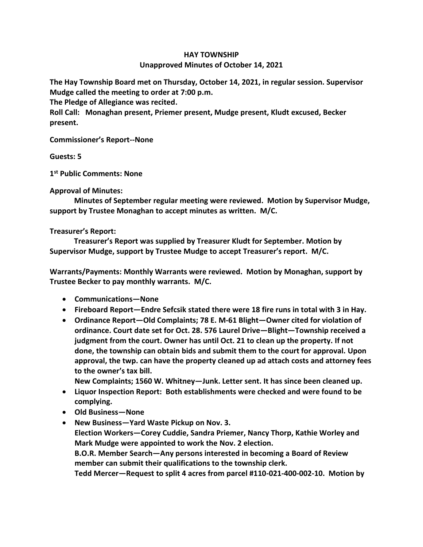## **HAY TOWNSHIP**

## **Unapproved Minutes of October 14, 2021**

**The Hay Township Board met on Thursday, October 14, 2021, in regular session. Supervisor Mudge called the meeting to order at 7:00 p.m.** 

**The Pledge of Allegiance was recited.** 

**Roll Call: Monaghan present, Priemer present, Mudge present, Kludt excused, Becker present.**

**Commissioner's Report--None**

**Guests: 5**

**1 st Public Comments: None**

**Approval of Minutes:**

 **Minutes of September regular meeting were reviewed. Motion by Supervisor Mudge, support by Trustee Monaghan to accept minutes as written. M/C.**

## **Treasurer's Report:**

 **Treasurer's Report was supplied by Treasurer Kludt for September. Motion by Supervisor Mudge, support by Trustee Mudge to accept Treasurer's report. M/C.**

**Warrants/Payments: Monthly Warrants were reviewed. Motion by Monaghan, support by Trustee Becker to pay monthly warrants. M/C.**

- **Communications—None**
- **Fireboard Report—Endre Sefcsik stated there were 18 fire runs in total with 3 in Hay.**
- **Ordinance Report—Old Complaints; 78 E. M-61 Blight—Owner cited for violation of ordinance. Court date set for Oct. 28. 576 Laurel Drive—Blight—Township received a judgment from the court. Owner has until Oct. 21 to clean up the property. If not done, the township can obtain bids and submit them to the court for approval. Upon approval, the twp. can have the property cleaned up ad attach costs and attorney fees to the owner's tax bill.**

**New Complaints; 1560 W. Whitney—Junk. Letter sent. It has since been cleaned up.**

- **Liquor Inspection Report: Both establishments were checked and were found to be complying.**
- **Old Business—None**
- **New Business—Yard Waste Pickup on Nov. 3. Election Workers—Corey Cuddie, Sandra Priemer, Nancy Thorp, Kathie Worley and Mark Mudge were appointed to work the Nov. 2 election. B.O.R. Member Search—Any persons interested in becoming a Board of Review member can submit their qualifications to the township clerk. Tedd Mercer—Request to split 4 acres from parcel #110-021-400-002-10. Motion by**